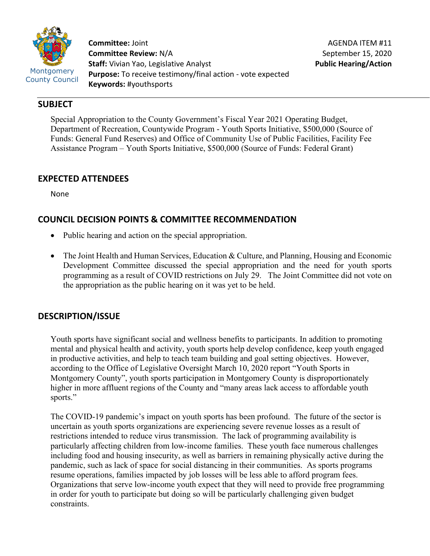

**Committee:** Joint **Committee Review:** N/A **Staff:** Vivian Yao, Legislative Analyst **Purpose:** To receive testimony/final action - vote expected **Keywords:** #youthsports

## **SUBJECT**

Special Appropriation to the County Government's Fiscal Year 2021 Operating Budget, Department of Recreation, Countywide Program - Youth Sports Initiative, \$500,000 (Source of Funds: General Fund Reserves) and Office of Community Use of Public Facilities, Facility Fee Assistance Program – Youth Sports Initiative, \$500,000 (Source of Funds: Federal Grant)

### **EXPECTED ATTENDEES**

None

# **COUNCIL DECISION POINTS & COMMITTEE RECOMMENDATION**

- Public hearing and action on the special appropriation.
- The Joint Health and Human Services, Education & Culture, and Planning, Housing and Economic Development Committee discussed the special appropriation and the need for youth sports programming as a result of COVID restrictions on July 29. The Joint Committee did not vote on the appropriation as the public hearing on it was yet to be held.

# **DESCRIPTION/ISSUE**

Youth sports have significant social and wellness benefits to participants. In addition to promoting mental and physical health and activity, youth sports help develop confidence, keep youth engaged in productive activities, and help to teach team building and goal setting objectives. However, according to the Office of Legislative Oversight March 10, 2020 report "Youth Sports in Montgomery County", youth sports participation in Montgomery County is disproportionately higher in more affluent regions of the County and "many areas lack access to affordable youth sports."

The COVID-19 pandemic's impact on youth sports has been profound. The future of the sector is uncertain as youth sports organizations are experiencing severe revenue losses as a result of restrictions intended to reduce virus transmission. The lack of programming availability is particularly affecting children from low-income families. These youth face numerous challenges including food and housing insecurity, as well as barriers in remaining physically active during the pandemic, such as lack of space for social distancing in their communities. As sports programs resume operations, families impacted by job losses will be less able to afford program fees. Organizations that serve low-income youth expect that they will need to provide free programming in order for youth to participate but doing so will be particularly challenging given budget constraints.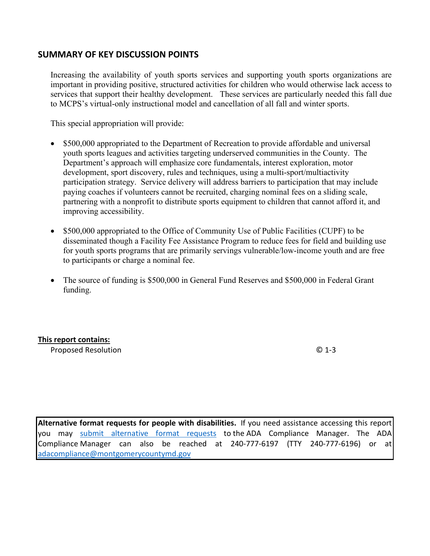### **SUMMARY OF KEY DISCUSSION POINTS**

Increasing the availability of youth sports services and supporting youth sports organizations are important in providing positive, structured activities for children who would otherwise lack access to services that support their healthy development. These services are particularly needed this fall due to MCPS's virtual-only instructional model and cancellation of all fall and winter sports.

This special appropriation will provide:

- \$500,000 appropriated to the Department of Recreation to provide affordable and universal youth sports leagues and activities targeting underserved communities in the County. The Department's approach will emphasize core fundamentals, interest exploration, motor development, sport discovery, rules and techniques, using a multi-sport/multiactivity participation strategy. Service delivery will address barriers to participation that may include paying coaches if volunteers cannot be recruited, charging nominal fees on a sliding scale, partnering with a nonprofit to distribute sports equipment to children that cannot afford it, and improving accessibility.
- \$500,000 appropriated to the Office of Community Use of Public Facilities (CUPF) to be disseminated though a Facility Fee Assistance Program to reduce fees for field and building use for youth sports programs that are primarily servings vulnerable/low-income youth and are free to participants or charge a nominal fee.
- The source of funding is \$500,000 in General Fund Reserves and \$500,000 in Federal Grant funding.

#### **This report contains:**

Proposed Resolution © 1-3

**Alternative format requests for people with disabilities.** If you need assistance accessing this report you may [submit alternative format requests](https://gcc01.safelinks.protection.outlook.com/?url=http%3A%2F%2Fwww2.montgomerycountymd.gov%2Fmcgportalapps%2FAccessibilityForm.aspx&data=02%7C01%7Csandra.marin%40montgomerycountymd.gov%7C79d44e803a8846df027008d6ad4e4d1b%7C6e01b1f9b1e54073ac97778069a0ad64%7C0%7C0%7C636886950086244453&sdata=AT2lwLz22SWBJ8c92gXfspY8lQVeGCrUbqSPzpYheB0%3D&reserved=0) to the ADA Compliance Manager. The ADA Compliance Manager can also be reached at 240-777-6197 (TTY 240-777-6196) or at [adacompliance@montgomerycountymd.gov](mailto:adacompliance@montgomerycountymd.gov)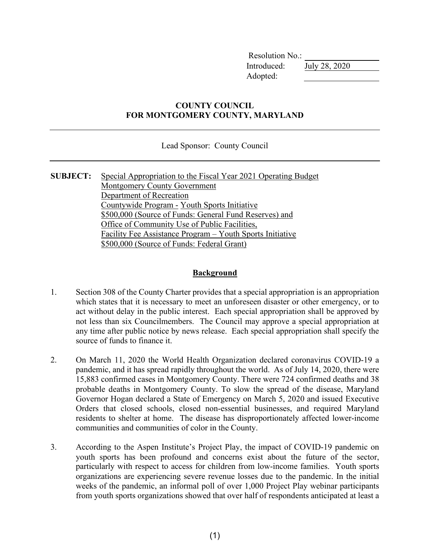Resolution No.: Introduced: July 28, 2020 Adopted:

#### **COUNTY COUNCIL FOR MONTGOMERY COUNTY, MARYLAND**

Lead Sponsor: County Council

**SUBJECT:** Special Appropriation to the Fiscal Year 2021 Operating Budget Montgomery County Government Department of Recreation Countywide Program - Youth Sports Initiative \$500,000 (Source of Funds: General Fund Reserves) and Office of Community Use of Public Facilities, Facility Fee Assistance Program – Youth Sports Initiative \$500,000 (Source of Funds: Federal Grant)

#### **Background**

- 1. Section 308 of the County Charter provides that a special appropriation is an appropriation which states that it is necessary to meet an unforeseen disaster or other emergency, or to act without delay in the public interest. Each special appropriation shall be approved by not less than six Councilmembers. The Council may approve a special appropriation at any time after public notice by news release. Each special appropriation shall specify the source of funds to finance it.
- 2. On March 11, 2020 the World Health Organization declared coronavirus COVID-19 a pandemic, and it has spread rapidly throughout the world. As of July 14, 2020, there were 15,883 confirmed cases in Montgomery County. There were 724 confirmed deaths and 38 probable deaths in Montgomery County. To slow the spread of the disease, Maryland Governor Hogan declared a State of Emergency on March 5, 2020 and issued Executive Orders that closed schools, closed non-essential businesses, and required Maryland residents to shelter at home. The disease has disproportionately affected lower-income communities and communities of color in the County.
- 3. According to the Aspen Institute's Project Play, the impact of COVID-19 pandemic on youth sports has been profound and concerns exist about the future of the sector, particularly with respect to access for children from low-income families. Youth sports organizations are experiencing severe revenue losses due to the pandemic. In the initial weeks of the pandemic, an informal poll of over 1,000 Project Play webinar participants from youth sports organizations showed that over half of respondents anticipated at least a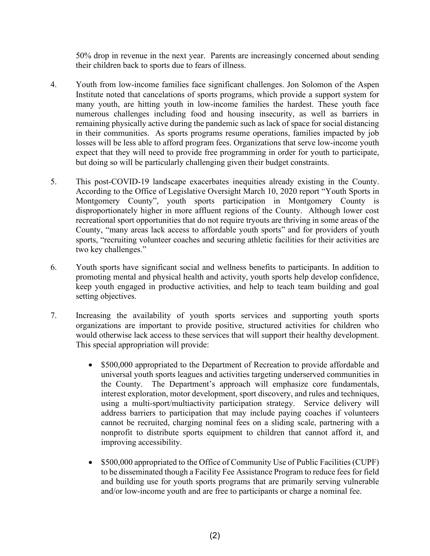50% drop in revenue in the next year. Parents are increasingly concerned about sending their children back to sports due to fears of illness.

- 4. Youth from low-income families face significant challenges. Jon Solomon of the Aspen Institute noted that cancelations of sports programs, which provide a support system for many youth, are hitting youth in low-income families the hardest. These youth face numerous challenges including food and housing insecurity, as well as barriers in remaining physically active during the pandemic such as lack of space for social distancing in their communities. As sports programs resume operations, families impacted by job losses will be less able to afford program fees. Organizations that serve low-income youth expect that they will need to provide free programming in order for youth to participate, but doing so will be particularly challenging given their budget constraints.
- 5. This post-COVID-19 landscape exacerbates inequities already existing in the County. According to the Office of Legislative Oversight March 10, 2020 report "Youth Sports in Montgomery County", youth sports participation in Montgomery County is disproportionately higher in more affluent regions of the County. Although lower cost recreational sport opportunities that do not require tryouts are thriving in some areas of the County, "many areas lack access to affordable youth sports" and for providers of youth sports, "recruiting volunteer coaches and securing athletic facilities for their activities are two key challenges."
- 6. Youth sports have significant social and wellness benefits to participants. In addition to promoting mental and physical health and activity, youth sports help develop confidence, keep youth engaged in productive activities, and help to teach team building and goal setting objectives.
- 7. Increasing the availability of youth sports services and supporting youth sports organizations are important to provide positive, structured activities for children who would otherwise lack access to these services that will support their healthy development. This special appropriation will provide:
	- \$500,000 appropriated to the Department of Recreation to provide affordable and universal youth sports leagues and activities targeting underserved communities in the County. The Department's approach will emphasize core fundamentals, interest exploration, motor development, sport discovery, and rules and techniques, using a multi-sport/multiactivity participation strategy. Service delivery will address barriers to participation that may include paying coaches if volunteers cannot be recruited, charging nominal fees on a sliding scale, partnering with a nonprofit to distribute sports equipment to children that cannot afford it, and improving accessibility.
	- \$500,000 appropriated to the Office of Community Use of Public Facilities (CUPF) to be disseminated though a Facility Fee Assistance Program to reduce fees for field and building use for youth sports programs that are primarily serving vulnerable and/or low-income youth and are free to participants or charge a nominal fee.